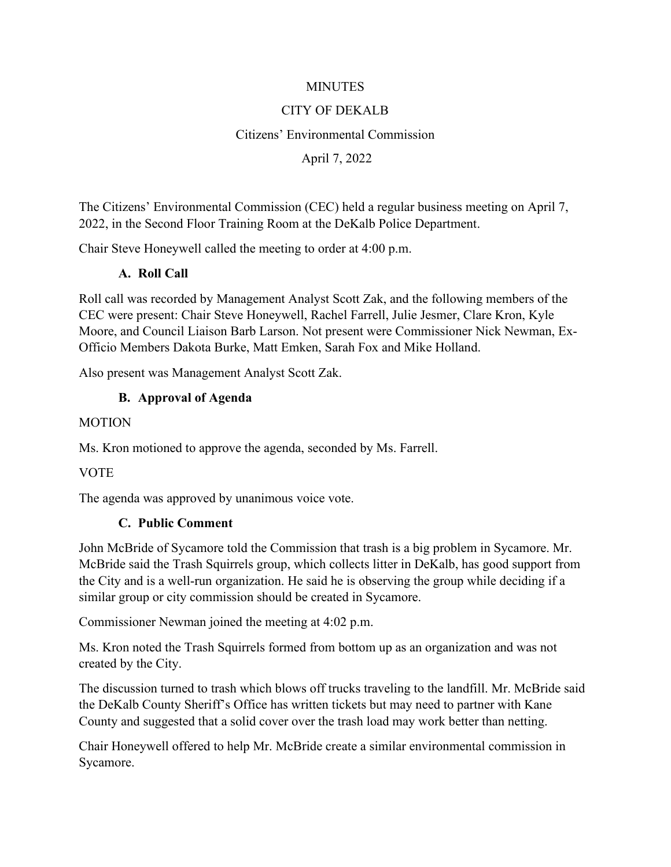#### **MINUTES**

### CITY OF DEKALB

#### Citizens' Environmental Commission

#### April 7, 2022

The Citizens' Environmental Commission (CEC) held a regular business meeting on April 7, 2022, in the Second Floor Training Room at the DeKalb Police Department.

Chair Steve Honeywell called the meeting to order at 4:00 p.m.

### **A. Roll Call**

Roll call was recorded by Management Analyst Scott Zak, and the following members of the CEC were present: Chair Steve Honeywell, Rachel Farrell, Julie Jesmer, Clare Kron, Kyle Moore, and Council Liaison Barb Larson. Not present were Commissioner Nick Newman, Ex-Officio Members Dakota Burke, Matt Emken, Sarah Fox and Mike Holland.

Also present was Management Analyst Scott Zak.

### **B. Approval of Agenda**

#### MOTION

Ms. Kron motioned to approve the agenda, seconded by Ms. Farrell.

**VOTE** 

The agenda was approved by unanimous voice vote.

#### **C. Public Comment**

John McBride of Sycamore told the Commission that trash is a big problem in Sycamore. Mr. McBride said the Trash Squirrels group, which collects litter in DeKalb, has good support from the City and is a well-run organization. He said he is observing the group while deciding if a similar group or city commission should be created in Sycamore.

Commissioner Newman joined the meeting at 4:02 p.m.

Ms. Kron noted the Trash Squirrels formed from bottom up as an organization and was not created by the City.

The discussion turned to trash which blows off trucks traveling to the landfill. Mr. McBride said the DeKalb County Sheriff's Office has written tickets but may need to partner with Kane County and suggested that a solid cover over the trash load may work better than netting.

Chair Honeywell offered to help Mr. McBride create a similar environmental commission in Sycamore.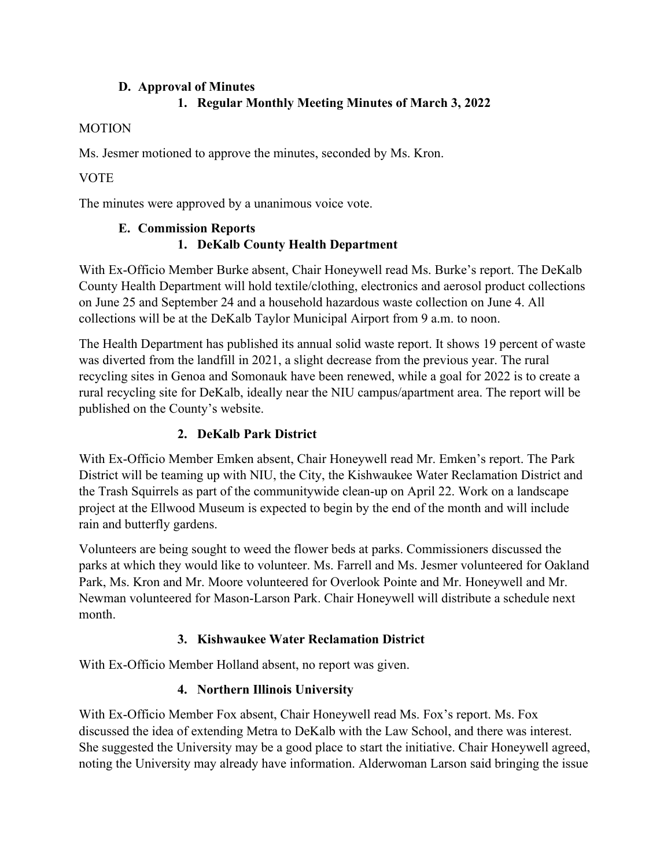# **D. Approval of Minutes**

# **1. Regular Monthly Meeting Minutes of March 3, 2022**

## **MOTION**

Ms. Jesmer motioned to approve the minutes, seconded by Ms. Kron.

## **VOTE**

The minutes were approved by a unanimous voice vote.

## **E. Commission Reports 1. DeKalb County Health Department**

With Ex-Officio Member Burke absent, Chair Honeywell read Ms. Burke's report. The DeKalb County Health Department will hold textile/clothing, electronics and aerosol product collections on June 25 and September 24 and a household hazardous waste collection on June 4. All collections will be at the DeKalb Taylor Municipal Airport from 9 a.m. to noon.

The Health Department has published its annual solid waste report. It shows 19 percent of waste was diverted from the landfill in 2021, a slight decrease from the previous year. The rural recycling sites in Genoa and Somonauk have been renewed, while a goal for 2022 is to create a rural recycling site for DeKalb, ideally near the NIU campus/apartment area. The report will be published on the County's website.

## **2. DeKalb Park District**

With Ex-Officio Member Emken absent, Chair Honeywell read Mr. Emken's report. The Park District will be teaming up with NIU, the City, the Kishwaukee Water Reclamation District and the Trash Squirrels as part of the communitywide clean-up on April 22. Work on a landscape project at the Ellwood Museum is expected to begin by the end of the month and will include rain and butterfly gardens.

Volunteers are being sought to weed the flower beds at parks. Commissioners discussed the parks at which they would like to volunteer. Ms. Farrell and Ms. Jesmer volunteered for Oakland Park, Ms. Kron and Mr. Moore volunteered for Overlook Pointe and Mr. Honeywell and Mr. Newman volunteered for Mason-Larson Park. Chair Honeywell will distribute a schedule next month.

## **3. Kishwaukee Water Reclamation District**

With Ex-Officio Member Holland absent, no report was given.

# **4. Northern Illinois University**

With Ex-Officio Member Fox absent, Chair Honeywell read Ms. Fox's report. Ms. Fox discussed the idea of extending Metra to DeKalb with the Law School, and there was interest. She suggested the University may be a good place to start the initiative. Chair Honeywell agreed, noting the University may already have information. Alderwoman Larson said bringing the issue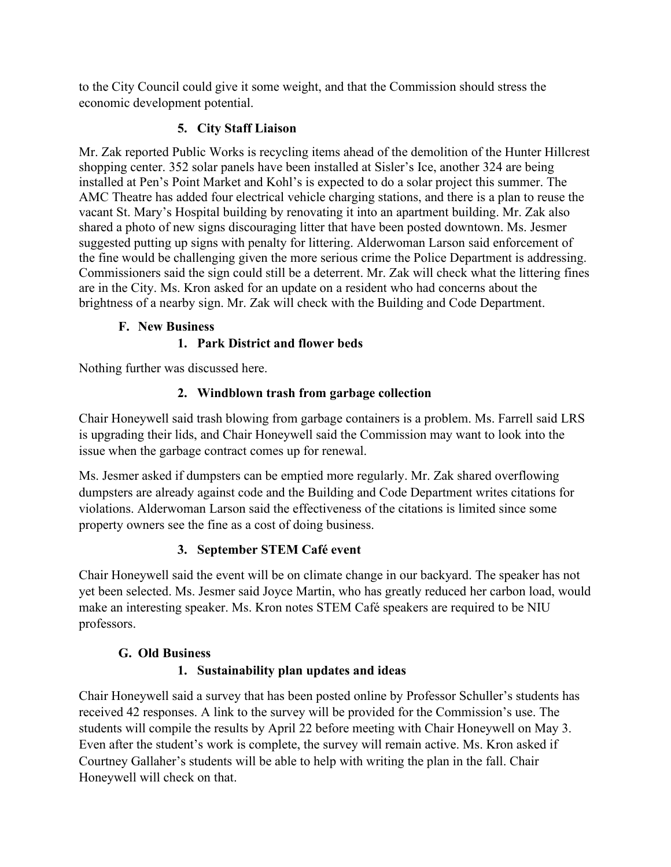to the City Council could give it some weight, and that the Commission should stress the economic development potential.

## **5. City Staff Liaison**

Mr. Zak reported Public Works is recycling items ahead of the demolition of the Hunter Hillcrest shopping center. 352 solar panels have been installed at Sisler's Ice, another 324 are being installed at Pen's Point Market and Kohl's is expected to do a solar project this summer. The AMC Theatre has added four electrical vehicle charging stations, and there is a plan to reuse the vacant St. Mary's Hospital building by renovating it into an apartment building. Mr. Zak also shared a photo of new signs discouraging litter that have been posted downtown. Ms. Jesmer suggested putting up signs with penalty for littering. Alderwoman Larson said enforcement of the fine would be challenging given the more serious crime the Police Department is addressing. Commissioners said the sign could still be a deterrent. Mr. Zak will check what the littering fines are in the City. Ms. Kron asked for an update on a resident who had concerns about the brightness of a nearby sign. Mr. Zak will check with the Building and Code Department.

### **F. New Business**

# **1. Park District and flower beds**

Nothing further was discussed here.

# **2. Windblown trash from garbage collection**

Chair Honeywell said trash blowing from garbage containers is a problem. Ms. Farrell said LRS is upgrading their lids, and Chair Honeywell said the Commission may want to look into the issue when the garbage contract comes up for renewal.

Ms. Jesmer asked if dumpsters can be emptied more regularly. Mr. Zak shared overflowing dumpsters are already against code and the Building and Code Department writes citations for violations. Alderwoman Larson said the effectiveness of the citations is limited since some property owners see the fine as a cost of doing business.

## **3. September STEM Café event**

Chair Honeywell said the event will be on climate change in our backyard. The speaker has not yet been selected. Ms. Jesmer said Joyce Martin, who has greatly reduced her carbon load, would make an interesting speaker. Ms. Kron notes STEM Café speakers are required to be NIU professors.

## **G. Old Business**

# **1. Sustainability plan updates and ideas**

Chair Honeywell said a survey that has been posted online by Professor Schuller's students has received 42 responses. A link to the survey will be provided for the Commission's use. The students will compile the results by April 22 before meeting with Chair Honeywell on May 3. Even after the student's work is complete, the survey will remain active. Ms. Kron asked if Courtney Gallaher's students will be able to help with writing the plan in the fall. Chair Honeywell will check on that.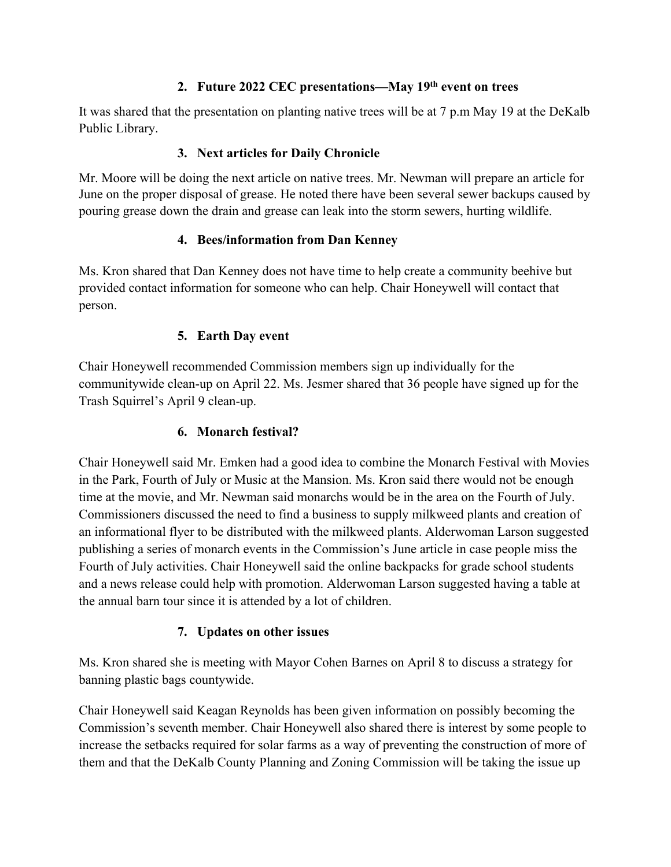## **2. Future 2022 CEC presentations—May 19th event on trees**

It was shared that the presentation on planting native trees will be at 7 p.m May 19 at the DeKalb Public Library.

## **3. Next articles for Daily Chronicle**

Mr. Moore will be doing the next article on native trees. Mr. Newman will prepare an article for June on the proper disposal of grease. He noted there have been several sewer backups caused by pouring grease down the drain and grease can leak into the storm sewers, hurting wildlife.

## **4. Bees/information from Dan Kenney**

Ms. Kron shared that Dan Kenney does not have time to help create a community beehive but provided contact information for someone who can help. Chair Honeywell will contact that person.

### **5. Earth Day event**

Chair Honeywell recommended Commission members sign up individually for the communitywide clean-up on April 22. Ms. Jesmer shared that 36 people have signed up for the Trash Squirrel's April 9 clean-up.

## **6. Monarch festival?**

Chair Honeywell said Mr. Emken had a good idea to combine the Monarch Festival with Movies in the Park, Fourth of July or Music at the Mansion. Ms. Kron said there would not be enough time at the movie, and Mr. Newman said monarchs would be in the area on the Fourth of July. Commissioners discussed the need to find a business to supply milkweed plants and creation of an informational flyer to be distributed with the milkweed plants. Alderwoman Larson suggested publishing a series of monarch events in the Commission's June article in case people miss the Fourth of July activities. Chair Honeywell said the online backpacks for grade school students and a news release could help with promotion. Alderwoman Larson suggested having a table at the annual barn tour since it is attended by a lot of children.

## **7. Updates on other issues**

Ms. Kron shared she is meeting with Mayor Cohen Barnes on April 8 to discuss a strategy for banning plastic bags countywide.

Chair Honeywell said Keagan Reynolds has been given information on possibly becoming the Commission's seventh member. Chair Honeywell also shared there is interest by some people to increase the setbacks required for solar farms as a way of preventing the construction of more of them and that the DeKalb County Planning and Zoning Commission will be taking the issue up